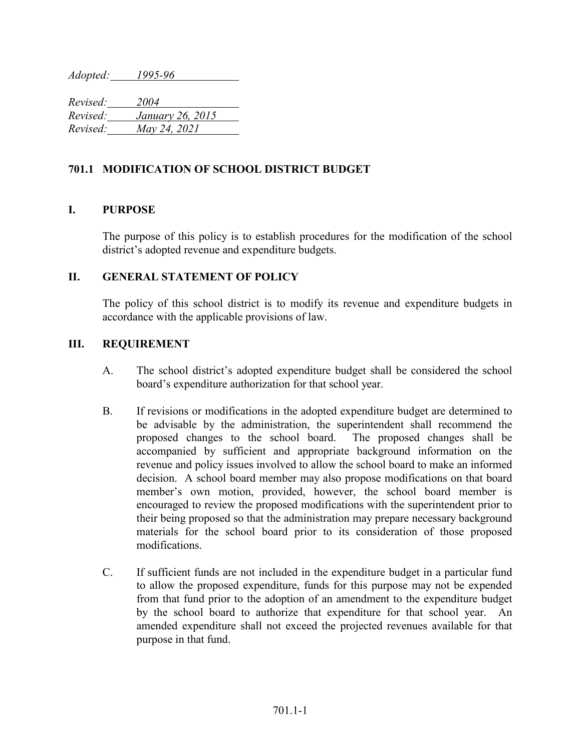*Adopted: 1995-96*

*Revised: 2004 Revised: January 26, 2015 Revised: May 24, 2021*

## **701.1 MODIFICATION OF SCHOOL DISTRICT BUDGET**

## **I. PURPOSE**

The purpose of this policy is to establish procedures for the modification of the school district's adopted revenue and expenditure budgets.

## **II. GENERAL STATEMENT OF POLICY**

The policy of this school district is to modify its revenue and expenditure budgets in accordance with the applicable provisions of law.

## **III. REQUIREMENT**

- A. The school district's adopted expenditure budget shall be considered the school board's expenditure authorization for that school year.
- B. If revisions or modifications in the adopted expenditure budget are determined to be advisable by the administration, the superintendent shall recommend the proposed changes to the school board. The proposed changes shall be accompanied by sufficient and appropriate background information on the revenue and policy issues involved to allow the school board to make an informed decision. A school board member may also propose modifications on that board member's own motion, provided, however, the school board member is encouraged to review the proposed modifications with the superintendent prior to their being proposed so that the administration may prepare necessary background materials for the school board prior to its consideration of those proposed modifications.
- C. If sufficient funds are not included in the expenditure budget in a particular fund to allow the proposed expenditure, funds for this purpose may not be expended from that fund prior to the adoption of an amendment to the expenditure budget by the school board to authorize that expenditure for that school year. An amended expenditure shall not exceed the projected revenues available for that purpose in that fund.